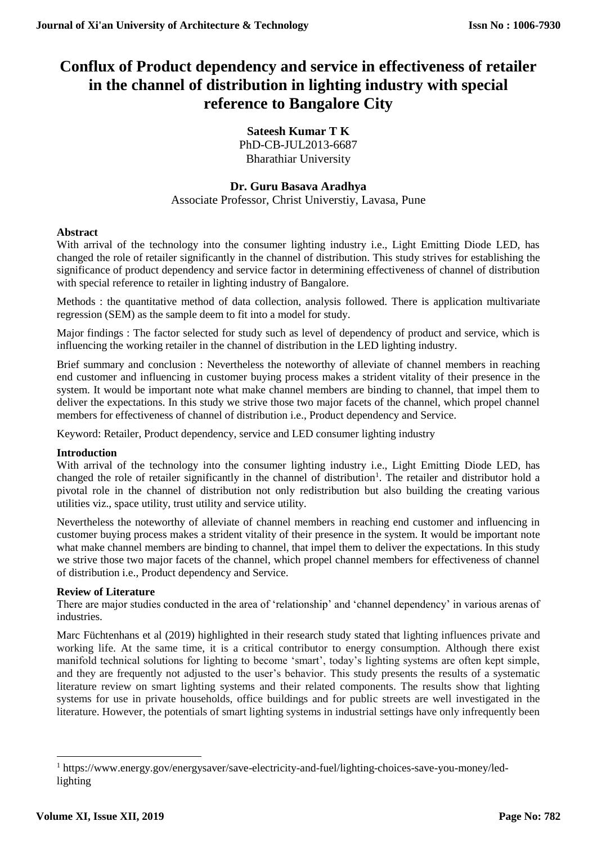# **Conflux of Product dependency and service in effectiveness of retailer in the channel of distribution in lighting industry with special reference to Bangalore City**

**Sateesh Kumar T K** PhD-CB-JUL2013-6687 Bharathiar University

# **Dr. Guru Basava Aradhya**

Associate Professor, Christ Universtiy, Lavasa, Pune

# **Abstract**

With arrival of the technology into the consumer lighting industry i.e., Light Emitting Diode LED, has changed the role of retailer significantly in the channel of distribution. This study strives for establishing the significance of product dependency and service factor in determining effectiveness of channel of distribution with special reference to retailer in lighting industry of Bangalore.

Methods : the quantitative method of data collection, analysis followed. There is application multivariate regression (SEM) as the sample deem to fit into a model for study.

Major findings : The factor selected for study such as level of dependency of product and service, which is influencing the working retailer in the channel of distribution in the LED lighting industry.

Brief summary and conclusion : Nevertheless the noteworthy of alleviate of channel members in reaching end customer and influencing in customer buying process makes a strident vitality of their presence in the system. It would be important note what make channel members are binding to channel, that impel them to deliver the expectations. In this study we strive those two major facets of the channel, which propel channel members for effectiveness of channel of distribution i.e., Product dependency and Service.

Keyword: Retailer, Product dependency, service and LED consumer lighting industry

# **Introduction**

With arrival of the technology into the consumer lighting industry i.e., Light Emitting Diode LED, has changed the role of retailer significantly in the channel of distribution<sup>1</sup>. The retailer and distributor hold a pivotal role in the channel of distribution not only redistribution but also building the creating various utilities viz., space utility, trust utility and service utility.

Nevertheless the noteworthy of alleviate of channel members in reaching end customer and influencing in customer buying process makes a strident vitality of their presence in the system. It would be important note what make channel members are binding to channel, that impel them to deliver the expectations. In this study we strive those two major facets of the channel, which propel channel members for effectiveness of channel of distribution i.e., Product dependency and Service.

# **Review of Literature**

There are major studies conducted in the area of 'relationship' and 'channel dependency' in various arenas of industries.

Marc Füchtenhans et al (2019) highlighted in their research study stated that lighting influences private and working life. At the same time, it is a critical contributor to energy consumption. Although there exist manifold technical solutions for lighting to become 'smart', today's lighting systems are often kept simple, and they are frequently not adjusted to the user's behavior. This study presents the results of a systematic literature review on smart lighting systems and their related components. The results show that lighting systems for use in private households, office buildings and for public streets are well investigated in the literature. However, the potentials of smart lighting systems in industrial settings have only infrequently been

**.** 

<sup>1</sup> https://www.energy.gov/energysaver/save-electricity-and-fuel/lighting-choices-save-you-money/ledlighting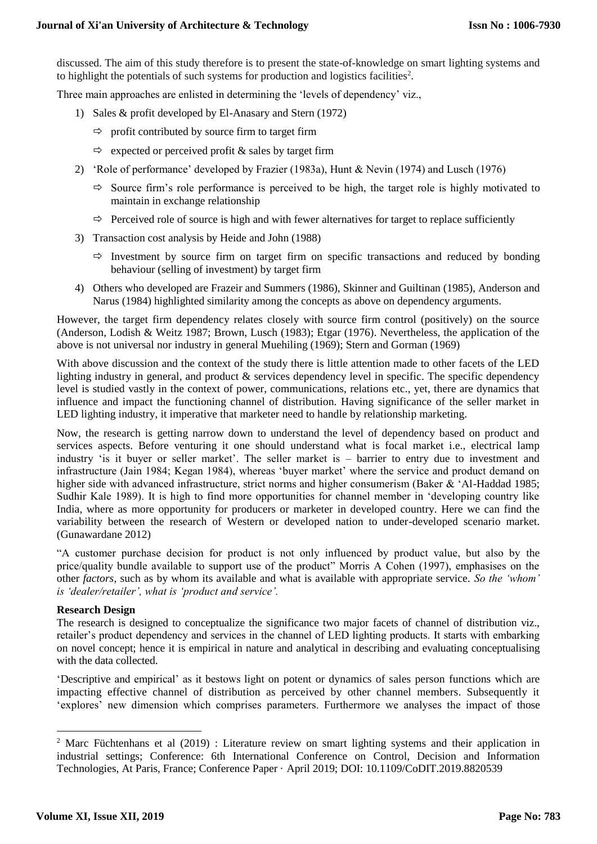discussed. The aim of this study therefore is to present the state-of-knowledge on smart lighting systems and to highlight the potentials of such systems for production and logistics facilities<sup>2</sup>.

Three main approaches are enlisted in determining the 'levels of dependency' viz.,

- 1) Sales & profit developed by El-Anasary and Stern (1972)
	- $\Rightarrow$  profit contributed by source firm to target firm
	- $\Rightarrow$  expected or perceived profit & sales by target firm
- 2) 'Role of performance' developed by Frazier (1983a), Hunt & Nevin (1974) and Lusch (1976)
	- $\Rightarrow$  Source firm's role performance is perceived to be high, the target role is highly motivated to maintain in exchange relationship
	- $\Rightarrow$  Perceived role of source is high and with fewer alternatives for target to replace sufficiently
- 3) Transaction cost analysis by Heide and John (1988)
	- $\Rightarrow$  Investment by source firm on target firm on specific transactions and reduced by bonding behaviour (selling of investment) by target firm
- 4) Others who developed are Frazeir and Summers (1986), Skinner and Guiltinan (1985), Anderson and Narus (1984) highlighted similarity among the concepts as above on dependency arguments.

However, the target firm dependency relates closely with source firm control (positively) on the source (Anderson, Lodish & Weitz 1987; Brown, Lusch (1983); Etgar (1976). Nevertheless, the application of the above is not universal nor industry in general Muehiling (1969); Stern and Gorman (1969)

With above discussion and the context of the study there is little attention made to other facets of the LED lighting industry in general, and product & services dependency level in specific. The specific dependency level is studied vastly in the context of power, communications, relations etc., yet, there are dynamics that influence and impact the functioning channel of distribution. Having significance of the seller market in LED lighting industry, it imperative that marketer need to handle by relationship marketing.

Now, the research is getting narrow down to understand the level of dependency based on product and services aspects. Before venturing it one should understand what is focal market i.e., electrical lamp industry 'is it buyer or seller market'. The seller market is – barrier to entry due to investment and infrastructure (Jain 1984; Kegan 1984), whereas 'buyer market' where the service and product demand on higher side with advanced infrastructure, strict norms and higher consumerism (Baker & 'Al-Haddad 1985; Sudhir Kale 1989). It is high to find more opportunities for channel member in 'developing country like India, where as more opportunity for producers or marketer in developed country. Here we can find the variability between the research of Western or developed nation to under-developed scenario market. (Gunawardane 2012)

"A customer purchase decision for product is not only influenced by product value, but also by the price/quality bundle available to support use of the product" Morris A Cohen (1997), emphasises on the other *factors,* such as by whom its available and what is available with appropriate service. *So the 'whom' is 'dealer/retailer', what is 'product and service'.* 

# **Research Design**

The research is designed to conceptualize the significance two major facets of channel of distribution viz., retailer's product dependency and services in the channel of LED lighting products. It starts with embarking on novel concept; hence it is empirical in nature and analytical in describing and evaluating conceptualising with the data collected.

'Descriptive and empirical' as it bestows light on potent or dynamics of sales person functions which are impacting effective channel of distribution as perceived by other channel members. Subsequently it 'explores' new dimension which comprises parameters. Furthermore we analyses the impact of those

1

<sup>&</sup>lt;sup>2</sup> Marc Füchtenhans et al (2019) : Literature review on smart lighting systems and their application in industrial settings; Conference: 6th International Conference on Control, Decision and Information Technologies, At Paris, France; Conference Paper · April 2019; DOI: 10.1109/CoDIT.2019.8820539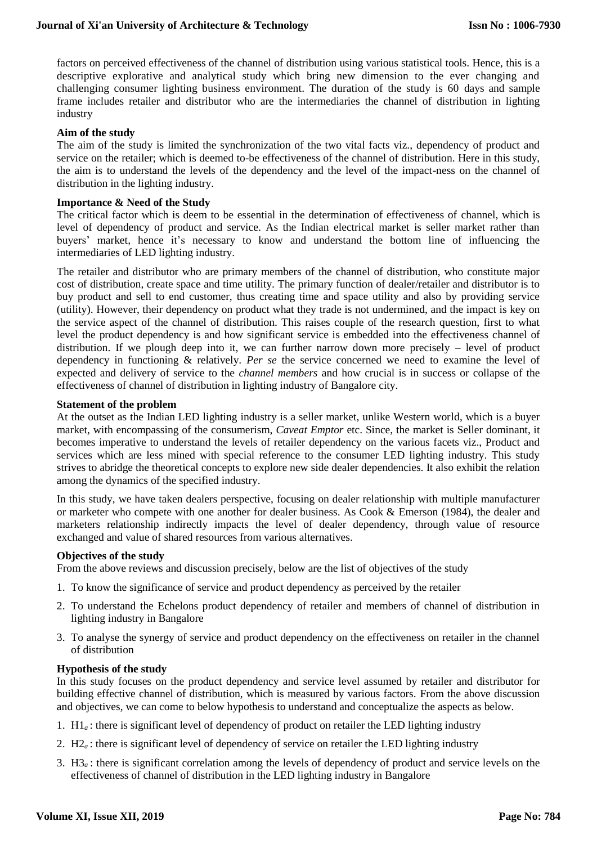factors on perceived effectiveness of the channel of distribution using various statistical tools. Hence, this is a descriptive explorative and analytical study which bring new dimension to the ever changing and challenging consumer lighting business environment. The duration of the study is 60 days and sample frame includes retailer and distributor who are the intermediaries the channel of distribution in lighting industry

## **Aim of the study**

The aim of the study is limited the synchronization of the two vital facts viz., dependency of product and service on the retailer; which is deemed to-be effectiveness of the channel of distribution. Here in this study, the aim is to understand the levels of the dependency and the level of the impact-ness on the channel of distribution in the lighting industry.

### **Importance & Need of the Study**

The critical factor which is deem to be essential in the determination of effectiveness of channel, which is level of dependency of product and service. As the Indian electrical market is seller market rather than buyers' market, hence it's necessary to know and understand the bottom line of influencing the intermediaries of LED lighting industry.

The retailer and distributor who are primary members of the channel of distribution, who constitute major cost of distribution, create space and time utility. The primary function of dealer/retailer and distributor is to buy product and sell to end customer, thus creating time and space utility and also by providing service (utility). However, their dependency on product what they trade is not undermined, and the impact is key on the service aspect of the channel of distribution. This raises couple of the research question, first to what level the product dependency is and how significant service is embedded into the effectiveness channel of distribution. If we plough deep into it, we can further narrow down more precisely – level of product dependency in functioning & relatively. *Per se* the service concerned we need to examine the level of expected and delivery of service to the *channel members* and how crucial is in success or collapse of the effectiveness of channel of distribution in lighting industry of Bangalore city.

#### **Statement of the problem**

At the outset as the Indian LED lighting industry is a seller market, unlike Western world, which is a buyer market, with encompassing of the consumerism, *Caveat Emptor* etc. Since, the market is Seller dominant, it becomes imperative to understand the levels of retailer dependency on the various facets viz., Product and services which are less mined with special reference to the consumer LED lighting industry. This study strives to abridge the theoretical concepts to explore new side dealer dependencies. It also exhibit the relation among the dynamics of the specified industry.

In this study, we have taken dealers perspective, focusing on dealer relationship with multiple manufacturer or marketer who compete with one another for dealer business. As Cook & Emerson (1984), the dealer and marketers relationship indirectly impacts the level of dealer dependency, through value of resource exchanged and value of shared resources from various alternatives.

#### **Objectives of the study**

From the above reviews and discussion precisely, below are the list of objectives of the study

- 1. To know the significance of service and product dependency as perceived by the retailer
- 2. To understand the Echelons product dependency of retailer and members of channel of distribution in lighting industry in Bangalore
- 3. To analyse the synergy of service and product dependency on the effectiveness on retailer in the channel of distribution

#### **Hypothesis of the study**

In this study focuses on the product dependency and service level assumed by retailer and distributor for building effective channel of distribution, which is measured by various factors. From the above discussion and objectives, we can come to below hypothesis to understand and conceptualize the aspects as below.

- 1. H1*a* : there is significant level of dependency of product on retailer the LED lighting industry
- 2. H2*a* : there is significant level of dependency of service on retailer the LED lighting industry
- 3. H3*a* : there is significant correlation among the levels of dependency of product and service levels on the effectiveness of channel of distribution in the LED lighting industry in Bangalore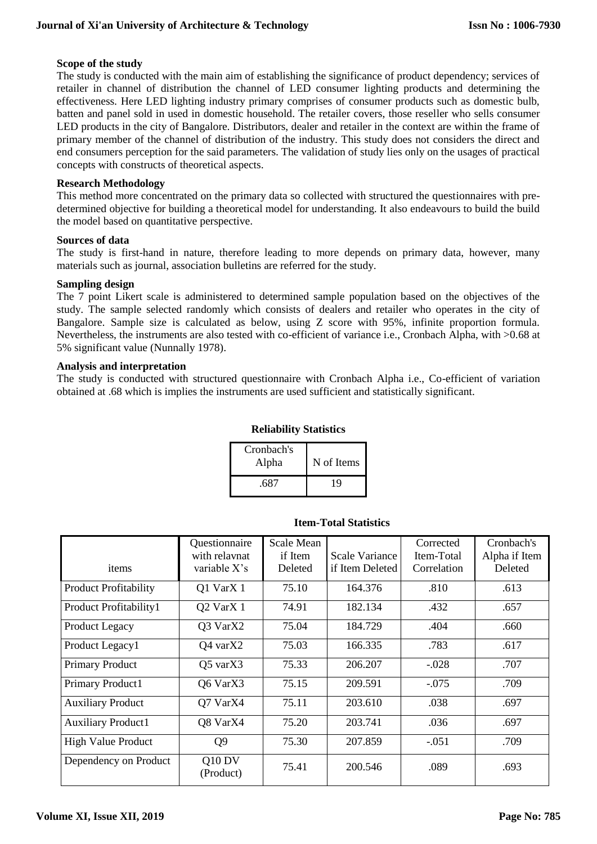# **Scope of the study**

The study is conducted with the main aim of establishing the significance of product dependency; services of retailer in channel of distribution the channel of LED consumer lighting products and determining the effectiveness. Here LED lighting industry primary comprises of consumer products such as domestic bulb, batten and panel sold in used in domestic household. The retailer covers, those reseller who sells consumer LED products in the city of Bangalore. Distributors, dealer and retailer in the context are within the frame of primary member of the channel of distribution of the industry. This study does not considers the direct and end consumers perception for the said parameters. The validation of study lies only on the usages of practical concepts with constructs of theoretical aspects.

## **Research Methodology**

This method more concentrated on the primary data so collected with structured the questionnaires with predetermined objective for building a theoretical model for understanding. It also endeavours to build the build the model based on quantitative perspective.

#### **Sources of data**

The study is first-hand in nature, therefore leading to more depends on primary data, however, many materials such as journal, association bulletins are referred for the study.

#### **Sampling design**

The 7 point Likert scale is administered to determined sample population based on the objectives of the study. The sample selected randomly which consists of dealers and retailer who operates in the city of Bangalore. Sample size is calculated as below, using Z score with 95%, infinite proportion formula. Nevertheless, the instruments are also tested with co-efficient of variance i.e., Cronbach Alpha, with >0.68 at 5% significant value (Nunnally 1978).

## **Analysis and interpretation**

The study is conducted with structured questionnaire with Cronbach Alpha i.e., Co-efficient of variation obtained at .68 which is implies the instruments are used sufficient and statistically significant.

# **Reliability Statistics**

| Cronbach's<br>Alpha | N of Items |
|---------------------|------------|
| .687                | 19         |

|                              | Questionnaire                     | <b>Scale Mean</b> |                 | Corrected   | Cronbach's    |
|------------------------------|-----------------------------------|-------------------|-----------------|-------------|---------------|
|                              | with relaynat                     | if Item           | Scale Variance  | Item-Total  | Alpha if Item |
| items                        | variable $X$ 's                   | Deleted           | if Item Deleted | Correlation | Deleted       |
| <b>Product Profitability</b> | Q1 VarX 1                         | 75.10             | 164.376         | .810        | .613          |
| Product Profitability1       | Q <sub>2</sub> Var <sub>X</sub> 1 | 74.91             | 182.134         | .432        | .657          |
| <b>Product Legacy</b>        | Q3 VarX2                          | 75.04             | 184.729         | .404        | .660          |
| Product Legacy1              | $Q4$ var $X2$                     | 75.03             | 166.335         | .783        | .617          |
| <b>Primary Product</b>       | $Q5$ var $X3$                     | 75.33             | 206.207         | $-.028$     | .707          |
| Primary Product1             | Q6 VarX3                          | 75.15             | 209.591         | $-.075$     | .709          |
| <b>Auxiliary Product</b>     | Q7 VarX4                          | 75.11             | 203.610         | .038        | .697          |
| <b>Auxiliary Product1</b>    | Q8 VarX4                          | 75.20             | 203.741         | .036        | .697          |
| <b>High Value Product</b>    | Q <sub>9</sub>                    | 75.30             | 207.859         | $-.051$     | .709          |
| Dependency on Product        | Q10 DV<br>(Product)               | 75.41             | 200.546         | .089        | .693          |

#### **Item-Total Statistics**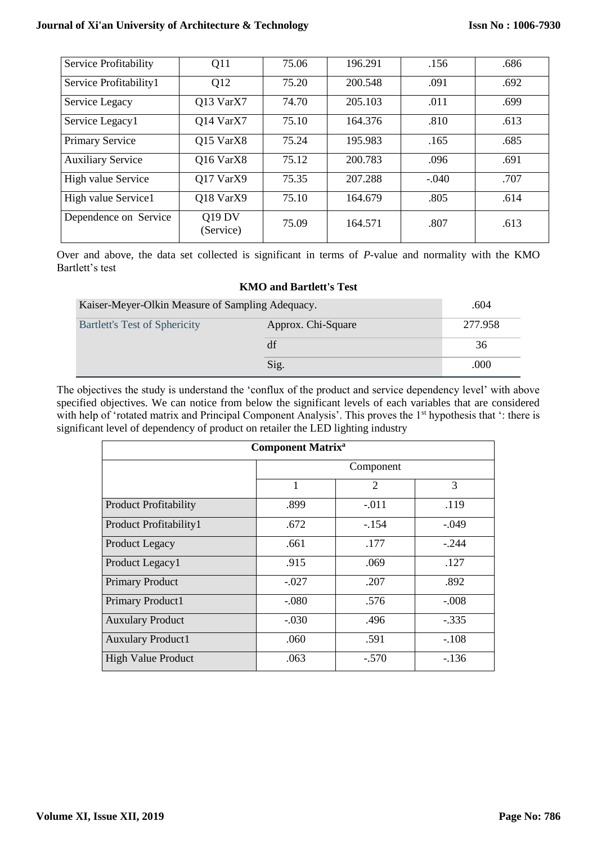# **Journal of Xi'an University of Architecture & Technology**

| Service Profitability    | Q11                        | 75.06 | 196.291 | .156    | .686 |
|--------------------------|----------------------------|-------|---------|---------|------|
| Service Profitability1   | Q12                        | 75.20 | 200.548 | .091    | .692 |
| Service Legacy           | Q13 VarX7                  | 74.70 | 205.103 | .011    | .699 |
| Service Legacy1          | Q14 VarX7                  | 75.10 | 164.376 | .810    | .613 |
| <b>Primary Service</b>   | Q15 VarX8                  | 75.24 | 195.983 | .165    | .685 |
| <b>Auxiliary Service</b> | Q16 VarX8                  | 75.12 | 200.783 | .096    | .691 |
| High value Service       | O17 VarX9                  | 75.35 | 207.288 | $-.040$ | .707 |
| High value Service1      | Q18 VarX9                  | 75.10 | 164.679 | .805    | .614 |
| Dependence on Service    | <b>Q19 DV</b><br>(Service) | 75.09 | 164.571 | .807    | .613 |

Over and above, the data set collected is significant in terms of *P*-value and normality with the KMO Bartlett's test

# **KMO and Bartlett's Test**

| Kaiser-Meyer-Olkin Measure of Sampling Adequacy. |                    | .604    |
|--------------------------------------------------|--------------------|---------|
| <b>Bartlett's Test of Sphericity</b>             | Approx. Chi-Square | 277.958 |
|                                                  | df                 | 36      |
|                                                  | Sig.               | .000    |

The objectives the study is understand the 'conflux of the product and service dependency level' with above specified objectives. We can notice from below the significant levels of each variables that are considered with help of 'rotated matrix and Principal Component Analysis'. This proves the 1<sup>st</sup> hypothesis that ': there is significant level of dependency of product on retailer the LED lighting industry

| <b>Component Matrix<sup>a</sup></b> |           |                |         |  |
|-------------------------------------|-----------|----------------|---------|--|
|                                     | Component |                |         |  |
|                                     | 1         | $\mathfrak{2}$ | 3       |  |
| <b>Product Profitability</b>        | .899      | $-.011$        | .119    |  |
| Product Profitability1              | .672      | $-154$         | $-.049$ |  |
| Product Legacy                      | .661      | .177           | $-.244$ |  |
| Product Legacy1                     | .915      | .069           | .127    |  |
| <b>Primary Product</b>              | $-.027$   | .207           | .892    |  |
| Primary Product1                    | $-.080$   | .576           | $-.008$ |  |
| <b>Auxulary Product</b>             | $-.030$   | .496           | $-.335$ |  |
| <b>Auxulary Product1</b>            | .060      | .591           | $-.108$ |  |
| <b>High Value Product</b>           | .063      | $-.570$        | $-136$  |  |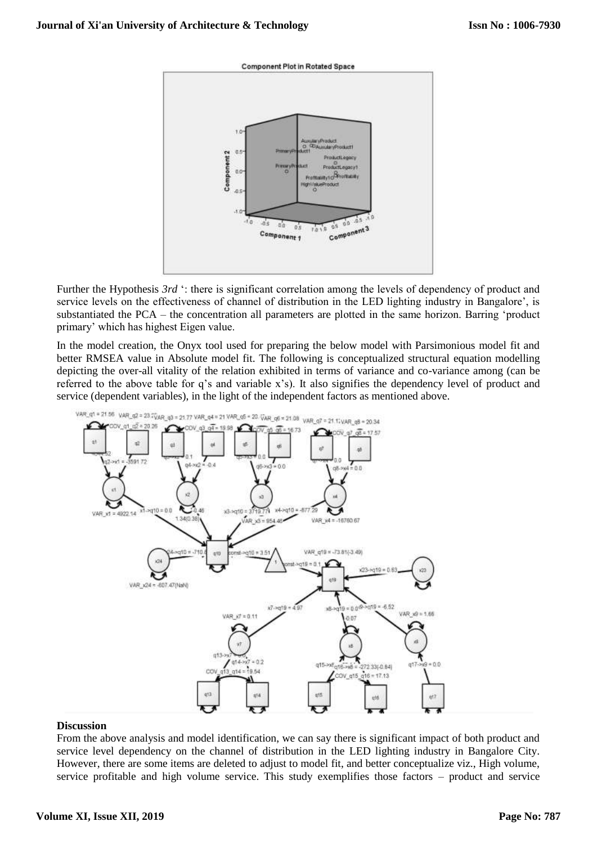



Further the Hypothesis *3rd* ': there is significant correlation among the levels of dependency of product and service levels on the effectiveness of channel of distribution in the LED lighting industry in Bangalore', is substantiated the PCA – the concentration all parameters are plotted in the same horizon. Barring 'product primary' which has highest Eigen value.

In the model creation, the Onyx tool used for preparing the below model with Parsimonious model fit and better RMSEA value in Absolute model fit. The following is conceptualized structural equation modelling depicting the over-all vitality of the relation exhibited in terms of variance and co-variance among (can be referred to the above table for q's and variable x's). It also signifies the dependency level of product and service (dependent variables), in the light of the independent factors as mentioned above.



#### **Discussion**

From the above analysis and model identification, we can say there is significant impact of both product and service level dependency on the channel of distribution in the LED lighting industry in Bangalore City. However, there are some items are deleted to adjust to model fit, and better conceptualize viz., High volume, service profitable and high volume service. This study exemplifies those factors – product and service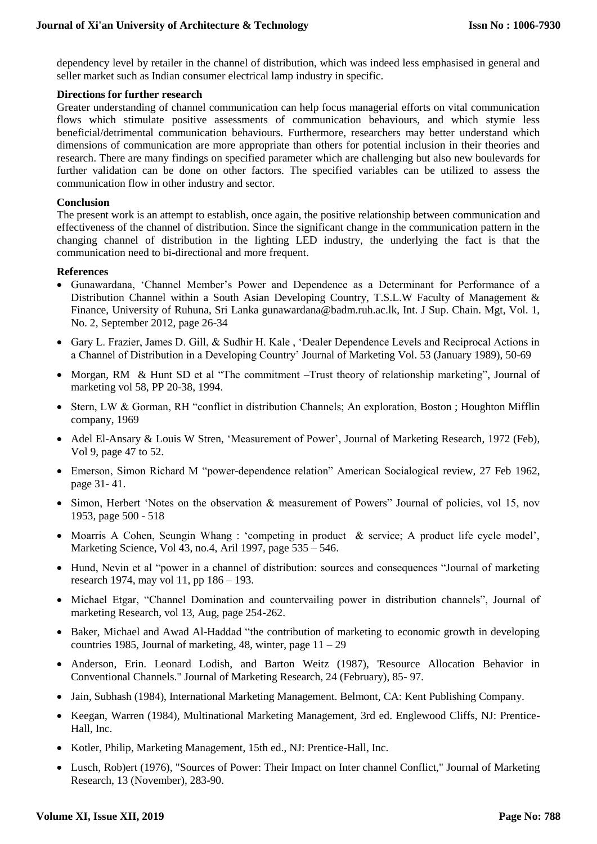dependency level by retailer in the channel of distribution, which was indeed less emphasised in general and seller market such as Indian consumer electrical lamp industry in specific.

## **Directions for further research**

Greater understanding of channel communication can help focus managerial efforts on vital communication flows which stimulate positive assessments of communication behaviours, and which stymie less beneficial/detrimental communication behaviours. Furthermore, researchers may better understand which dimensions of communication are more appropriate than others for potential inclusion in their theories and research. There are many findings on specified parameter which are challenging but also new boulevards for further validation can be done on other factors. The specified variables can be utilized to assess the communication flow in other industry and sector.

## **Conclusion**

The present work is an attempt to establish, once again, the positive relationship between communication and effectiveness of the channel of distribution. Since the significant change in the communication pattern in the changing channel of distribution in the lighting LED industry, the underlying the fact is that the communication need to bi-directional and more frequent.

## **References**

- Gunawardana, 'Channel Member's Power and Dependence as a Determinant for Performance of a Distribution Channel within a South Asian Developing Country, T.S.L.W Faculty of Management & Finance, University of Ruhuna, Sri Lanka gunawardana@badm.ruh.ac.lk, Int. J Sup. Chain. Mgt, Vol. 1, No. 2, September 2012, page 26-34
- Gary L. Frazier, James D. Gill, & Sudhir H. Kale , 'Dealer Dependence Levels and Reciprocal Actions in a Channel of Distribution in a Developing Country' Journal of Marketing Vol. 53 (January 1989), 50-69
- Morgan, RM & Hunt SD et al "The commitment –Trust theory of relationship marketing", Journal of marketing vol 58, PP 20-38, 1994.
- Stern, LW & Gorman, RH "conflict in distribution Channels; An exploration, Boston ; Houghton Mifflin company, 1969
- Adel El-Ansary & Louis W Stren, 'Measurement of Power', Journal of Marketing Research, 1972 (Feb), Vol 9, page 47 to 52.
- Emerson, Simon Richard M "power-dependence relation" American Socialogical review, 27 Feb 1962, page 31- 41.
- Simon, Herbert 'Notes on the observation & measurement of Powers'' Journal of policies, vol 15, nov 1953, page 500 - 518
- Moarris A Cohen, Seungin Whang : 'competing in product & service; A product life cycle model', Marketing Science, Vol 43, no.4, Aril 1997, page 535 – 546.
- Hund, Nevin et al "power in a channel of distribution: sources and consequences "Journal of marketing research 1974, may vol 11, pp 186 – 193.
- Michael Etgar, "Channel Domination and countervailing power in distribution channels", Journal of marketing Research, vol 13, Aug, page 254-262.
- Baker, Michael and Awad Al-Haddad "the contribution of marketing to economic growth in developing countries 1985, Journal of marketing, 48, winter, page  $11 - 29$
- Anderson, Erin. Leonard Lodish, and Barton Weitz (1987), 'Resource Allocation Behavior in Conventional Channels." Journal of Marketing Research, 24 (February), 85- 97.
- Jain, Subhash (1984), International Marketing Management. Belmont, CA: Kent Publishing Company.
- Keegan, Warren (1984), Multinational Marketing Management, 3rd ed. Englewood Cliffs, NJ: Prentice-Hall, Inc.
- Kotler, Philip, Marketing Management, 15th ed., NJ: Prentice-Hall, Inc.
- Lusch, Rob)ert (1976), "Sources of Power: Their Impact on Inter channel Conflict," Journal of Marketing Research, 13 (November), 283-90.